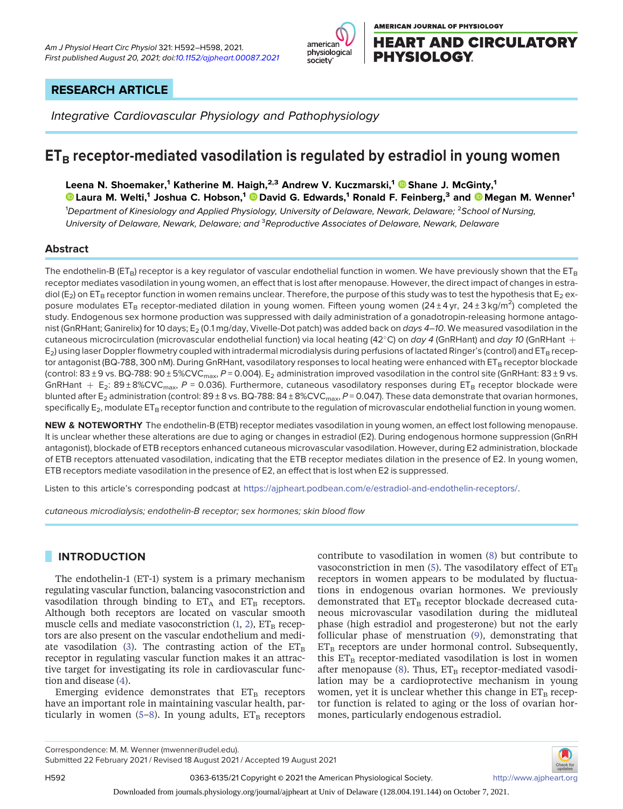



# RESEARCH ARTICLE

Integrative Cardiovascular Physiology and Pathophysiology

# $ET_B$  receptor-mediated vasodilation is regulated by estradiol in young women

Leena N. Shoemaker,<sup>1</sup> Katherine M. Haigh,<sup>2,3</sup> Andrew V. Kuczmarski,<sup>1</sup> © Shane J. McGinty,<sup>1</sup>

 $\bullet$  [Laura M. Welti,](https://orcid.org/0000-0002-6721-5386) $^1$  Joshua C. Hobson, $^1$   $\bullet$  [David G. Edwards,](https://orcid.org/0000-0002-5098-6678) $^1$  Ronald F. Feinberg, $^3$  and  $\bullet$  [Megan M. Wenner](https://orcid.org/0000-0003-0055-783X) $^1$ 

<sup>1</sup>Department of Kinesiology and Applied Physiology, University of Delaware, Newark, Delaware; <sup>2</sup>School of Nursing, University of Delaware, Newark, Delaware; and <sup>3</sup>Reproductive Associates of Delaware, Newark, Delaware

# Abstract

The endothelin-B (ET<sub>B</sub>) receptor is a key regulator of vascular endothelial function in women. We have previously shown that the ET<sub>B</sub> receptor mediates vasodilation in young women, an effect that is lost after menopause. However, the direct impact of changes in estradiol ( $E_2$ ) on ET<sub>B</sub> receptor function in women remains unclear. Therefore, the purpose of this study was to test the hypothesis that E<sub>2</sub> exposure modulates ET<sub>B</sub> receptor-mediated dilation in young women. Fifteen young women (24±4yr, 24±3 kg/m<sup>2</sup>) completed the study. Endogenous sex hormone production was suppressed with daily administration of a gonadotropin-releasing hormone antagonist (GnRHant; Ganirelix) for 10 days; E<sub>2</sub> (0.1 mg/day, Vivelle-Dot patch) was added back on *days 4–10*. We measured vasodilation in the cutaneous microcirculation (microvascular endothelial function) via local heating (42°C) on day 4 (GnRHant) and day 10 (GnRHant  $+$ E<sub>2</sub>) using laser Doppler flowmetry coupled with intradermal microdialysis during perfusions of lactated Ringer's (control) and ET<sub>B</sub> receptor antagonist (BQ-788, 300 nM). During GnRHant, vasodilatory responses to local heating were enhanced with ET<sub>B</sub> receptor blockade (control: 83 ± 9 vs. BQ-788: 90 ± 5%CVC<sub>max</sub>, P = 0.004). E<sub>2</sub> administration improved vasodilation in the control site (GnRHant: 83 ± 9 vs. GnRHant  $+ E_2$ : 89 ± 8%CVC<sub>max</sub>, P = 0.036). Furthermore, cutaneous vasodilatory responses during ET<sub>B</sub> receptor blockade were blunted after E<sub>2</sub> administration (control: 89 ± 8 vs. BQ-788: 84 ± 8%CVC<sub>max</sub>, P = 0.047). These data demonstrate that ovarian hormones, specifically  $E_2$ , modulate ET<sub>B</sub> receptor function and contribute to the regulation of microvascular endothelial function in young women.

NEW & NOTEWORTHY The endothelin-B (ETB) receptor mediates vasodilation in young women, an effect lost following menopause. It is unclear whether these alterations are due to aging or changes in estradiol (E2). During endogenous hormone suppression (GnRH antagonist), blockade of ETB receptors enhanced cutaneous microvascular vasodilation. However, during E2 administration, blockade of ETB receptors attenuated vasodilation, indicating that the ETB receptor mediates dilation in the presence of E2. In young women, ETB receptors mediate vasodilation in the presence of E2, an effect that is lost when E2 is suppressed.

Listen to this article's corresponding podcast at [https://ajpheart.podbean.com/e/estradiol-and-endothelin-receptors/.](https://ajpheart.podbean.com/e/estradiol-and-endothelin-receptors/)

cutaneous microdialysis; endothelin-B receptor; sex hormones; skin blood flow

# INTRODUCTION

The endothelin-1 (ET-1) system is a primary mechanism regulating vascular function, balancing vasoconstriction and vasodilation through binding to  $ET_A$  and  $ET_B$  receptors. Although both receptors are located on vascular smooth muscle cells and mediate vasoconstriction  $(1, 2)$  $(1, 2)$  $(1, 2)$  $(1, 2)$ ,  $ET_B$  receptors are also present on the vascular endothelium and medi-ate vasodilation [\(3\)](#page-5-2). The contrasting action of the  $ET_B$ receptor in regulating vascular function makes it an attractive target for investigating its role in cardiovascular function and disease ([4](#page-5-3)).

Emerging evidence demonstrates that  $ET_B$  receptors have an important role in maintaining vascular health, par-ticularly in women [\(5](#page-5-4)-[8](#page-5-5)). In young adults,  $ET_B$  receptors contribute to vasodilation in women ([8\)](#page-5-5) but contribute to vasoconstriction in men [\(5](#page-5-4)). The vasodilatory effect of  $ET_B$ receptors in women appears to be modulated by fluctuations in endogenous ovarian hormones. We previously demonstrated that  $ET_B$  receptor blockade decreased cutaneous microvascular vasodilation during the midluteal phase (high estradiol and progesterone) but not the early follicular phase of menstruation [\(9\)](#page-6-0), demonstrating that  $ET_B$  receptors are under hormonal control. Subsequently, this  $ET_B$  receptor-mediated vasodilation is lost in women after menopause ([8](#page-5-5)). Thus,  $ET_B$  receptor-mediated vasodilation may be a cardioprotective mechanism in young women, yet it is unclear whether this change in  $ET_B$  receptor function is related to aging or the loss of ovarian hormones, particularly endogenous estradiol.

Submitted 22 February 2021 / Revised 18 August 2021 / Accepted 19 August 2021



H592 **0363-6135/21 Copyright © 2021 the American Physiological Society.** <http://www.ajpheart.org>/

Downloaded from journals.physiology.org/journal/ajpheart at Univ of Delaware (128.004.191.144) on October 7, 2021.

Correspondence: M. M. Wenner (mwenner@udel.edu).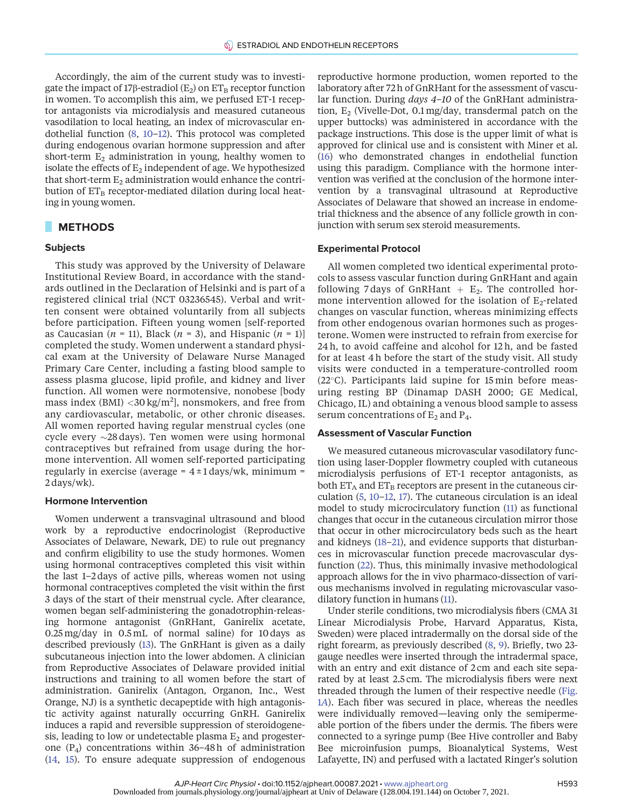Accordingly, the aim of the current study was to investigate the impact of 17 $\beta$ -estradiol (E<sub>2</sub>) on ET<sub>B</sub> receptor function in women. To accomplish this aim, we perfused ET-1 receptor antagonists via microdialysis and measured cutaneous vasodilation to local heating, an index of microvascular endothelial function [\(8](#page-5-5), [10](#page-6-1)–[12](#page-6-2)). This protocol was completed during endogenous ovarian hormone suppression and after short-term  $E_2$  administration in young, healthy women to isolate the effects of  $E_2$  independent of age. We hypothesized that short-term  $E_2$  administration would enhance the contribution of  $ET_B$  receptor-mediated dilation during local heating in young women.

## METHODS

#### **Subjects**

This study was approved by the University of Delaware Institutional Review Board, in accordance with the standards outlined in the Declaration of Helsinki and is part of a registered clinical trial (NCT 03236545). Verbal and written consent were obtained voluntarily from all subjects before participation. Fifteen young women [self-reported as Caucasian ( $n = 11$ ), Black ( $n = 3$ ), and Hispanic ( $n = 1$ )] completed the study. Women underwent a standard physical exam at the University of Delaware Nurse Managed Primary Care Center, including a fasting blood sample to assess plasma glucose, lipid profile, and kidney and liver function. All women were normotensive, nonobese [body mass index (BMI) <30 kg/m<sup>2</sup>], nonsmokers, and free from any cardiovascular, metabolic, or other chronic diseases. All women reported having regular menstrual cycles (one cycle every  $\sim$ 28 days). Ten women were using hormonal contraceptives but refrained from usage during the hormone intervention. All women self-reported participating regularly in exercise (average =  $4 \pm 1$  days/wk, minimum = 2 days/wk).

#### Hormone Intervention

Women underwent a transvaginal ultrasound and blood work by a reproductive endocrinologist (Reproductive Associates of Delaware, Newark, DE) to rule out pregnancy and confirm eligibility to use the study hormones. Women using hormonal contraceptives completed this visit within the last 1–2 days of active pills, whereas women not using hormonal contraceptives completed the visit within the first 3 days of the start of their menstrual cycle. After clearance, women began self-administering the gonadotrophin-releasing hormone antagonist (GnRHant, Ganirelix acetate, 0.25mg/day in 0.5 mL of normal saline) for 10 days as described previously ([13\)](#page-6-3). The GnRHant is given as a daily subcutaneous injection into the lower abdomen. A clinician from Reproductive Associates of Delaware provided initial instructions and training to all women before the start of administration. Ganirelix (Antagon, Organon, Inc., West Orange, NJ) is a synthetic decapeptide with high antagonistic activity against naturally occurring GnRH. Ganirelix induces a rapid and reversible suppression of steroidogenesis, leading to low or undetectable plasma  $E_2$  and progesterone  $(P_4)$  concentrations within 36-48h of administration ([14,](#page-6-4) [15\)](#page-6-5). To ensure adequate suppression of endogenous

reproductive hormone production, women reported to the laboratory after 72 h of GnRHant for the assessment of vascular function. During *days 4-10* of the GnRHant administration,  $E_2$  (Vivelle-Dot, 0.1 mg/day, transdermal patch on the upper buttocks) was administered in accordance with the package instructions. This dose is the upper limit of what is approved for clinical use and is consistent with Miner et al. ([16](#page-6-6)) who demonstrated changes in endothelial function using this paradigm. Compliance with the hormone intervention was verified at the conclusion of the hormone intervention by a transvaginal ultrasound at Reproductive Associates of Delaware that showed an increase in endometrial thickness and the absence of any follicle growth in conjunction with serum sex steroid measurements.

#### Experimental Protocol

All women completed two identical experimental protocols to assess vascular function during GnRHant and again following 7 days of GnRHant  $+$  E<sub>2</sub>. The controlled hormone intervention allowed for the isolation of  $E_2$ -related changes on vascular function, whereas minimizing effects from other endogenous ovarian hormones such as progesterone. Women were instructed to refrain from exercise for 24 h, to avoid caffeine and alcohol for 12 h, and be fasted for at least 4 h before the start of the study visit. All study visits were conducted in a temperature-controlled room  $(22^{\circ}C)$ . Participants laid supine for 15 min before measuring resting BP (Dinamap DASH 2000; GE Medical, Chicago, IL) and obtaining a venous blood sample to assess serum concentrations of  $E_2$  and  $P_4$ .

#### Assessment of Vascular Function

We measured cutaneous microvascular vasodilatory function using laser-Doppler flowmetry coupled with cutaneous microdialysis perfusions of ET-1 receptor antagonists, as both  $ET_A$  and  $ET_B$  receptors are present in the cutaneous circulation ([5](#page-5-4), [10](#page-6-1)–[12,](#page-6-2) [17](#page-6-7)). The cutaneous circulation is an ideal model to study microcirculatory function ([11\)](#page-6-8) as functional changes that occur in the cutaneous circulation mirror those that occur in other microcirculatory beds such as the heart and kidneys ([18](#page-6-9)–[21\)](#page-6-10), and evidence supports that disturbances in microvascular function precede macrovascular dysfunction [\(22](#page-6-11)). Thus, this minimally invasive methodological approach allows for the in vivo pharmaco-dissection of various mechanisms involved in regulating microvascular vasodilatory function in humans ([11](#page-6-8)).

Under sterile conditions, two microdialysis fibers (CMA 31 Linear Microdialysis Probe, Harvard Apparatus, Kista, Sweden) were placed intradermally on the dorsal side of the right forearm, as previously described ([8,](#page-5-5) [9](#page-6-0)). Briefly, two 23 gauge needles were inserted through the intradermal space, with an entry and exit distance of 2 cm and each site separated by at least 2.5 cm. The microdialysis fibers were next threaded through the lumen of their respective needle [\(Fig.](#page-2-0) 1[A](#page-2-0)). Each fiber was secured in place, whereas the needles were individually removed—leaving only the semipermeable portion of the fibers under the dermis. The fibers were connected to a syringe pump (Bee Hive controller and Baby Bee microinfusion pumps, Bioanalytical Systems, West Lafayette, IN) and perfused with a lactated Ringer's solution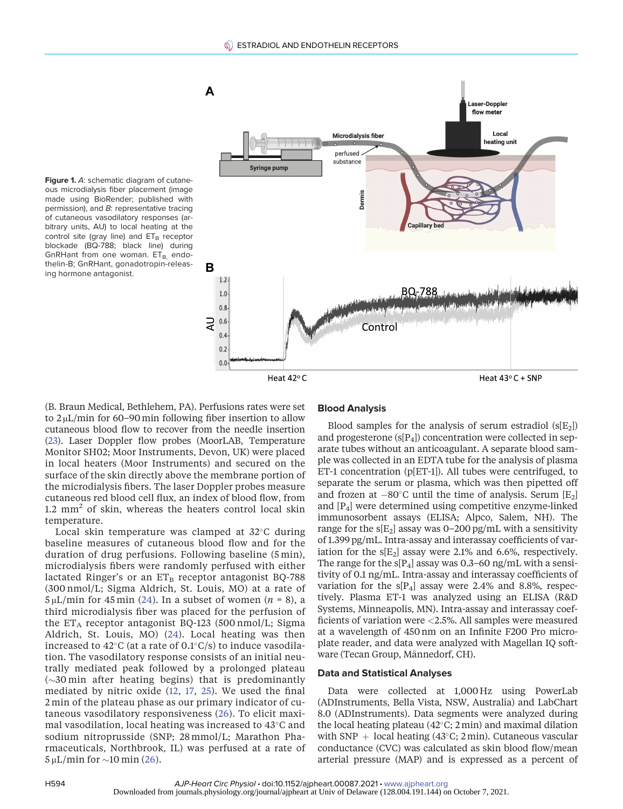

<span id="page-2-0"></span>Figure 1. A: schematic diagram of cutaneous microdialysis fiber placement (image made using BioRender; published with permission), and B: representative tracing of cutaneous vasodilatory responses (arbitrary units, AU) to local heating at the control site (gray line) and  $ET_B$  receptor blockade (BQ-788; black line) during GnRHant from one woman.  $ET_{B}$ , endothelin-B; GnRHant, gonadotropin-releasing hormone antagonist.

(B. Braun Medical, Bethlehem, PA). Perfusions rates were set to 2 μL/min for 60–90min following fiber insertion to allow cutaneous blood flow to recover from the needle insertion ([23\)](#page-6-12). Laser Doppler flow probes (MoorLAB, Temperature Monitor SH02; Moor Instruments, Devon, UK) were placed in local heaters (Moor Instruments) and secured on the surface of the skin directly above the membrane portion of the microdialysis fibers. The laser Doppler probes measure cutaneous red blood cell flux, an index of blood flow, from 1.2  $mm<sup>2</sup>$  of skin, whereas the heaters control local skin temperature.

Local skin temperature was clamped at  $32^{\circ}$ C during baseline measures of cutaneous blood flow and for the duration of drug perfusions. Following baseline (5 min), microdialysis fibers were randomly perfused with either lactated Ringer's or an  $ET_B$  receptor antagonist BQ-788 (300 nmol/L; Sigma Aldrich, St. Louis, MO) at a rate of  $5 \mu L/min$  for 45 min ([24\)](#page-6-13). In a subset of women (*n* = 8), a third microdialysis fiber was placed for the perfusion of the  $ET_A$  receptor antagonist BQ-123 (500 nmol/L; Sigma Aldrich, St. Louis, MO) [\(24](#page-6-13)). Local heating was then increased to  $42^{\circ}$ C (at a rate of 0.1 $^{\circ}$ C/s) to induce vasodilation. The vasodilatory response consists of an initial neutrally mediated peak followed by a prolonged plateau  $(\sim 30$  min after heating begins) that is predominantly mediated by nitric oxide ([12,](#page-6-2) [17](#page-6-7), [25\)](#page-6-14). We used the final 2 min of the plateau phase as our primary indicator of cutaneous vasodilatory responsiveness ([26\)](#page-6-15). To elicit maximal vasodilation, local heating was increased to  $43^{\circ}$ C and sodium nitroprusside (SNP; 28 mmol/L; Marathon Pharmaceuticals, Northbrook, IL) was perfused at a rate of  $5 \mu L/min$  for  $\sim 10 \text{ min} (26)$  $\sim 10 \text{ min} (26)$ .

### Blood Analysis

Blood samples for the analysis of serum estradiol  $(s[E_2])$ and progesterone  $(s[P_4])$  concentration were collected in separate tubes without an anticoagulant. A separate blood sample was collected in an EDTA tube for the analysis of plasma ET-1 concentration (p[ET-1]). All tubes were centrifuged, to separate the serum or plasma, which was then pipetted off and frozen at  $-80^{\circ}$ C until the time of analysis. Serum [E<sub>2</sub>] and [P4] were determined using competitive enzyme-linked immunosorbent assays (ELISA; Alpco, Salem, NH). The range for the  $s[E_2]$  assay was 0-200 pg/mL with a sensitivity of 1.399 pg/mL. Intra-assay and interassay coefficients of variation for the  $s[E_2]$  assay were 2.1% and 6.6%, respectively. The range for the  $s[P_4]$  assay was 0.3–60 ng/mL with a sensitivity of 0.1 ng/mL. Intra-assay and interassay coefficients of variation for the  $s[P_4]$  assay were 2.4% and 8.8%, respectively. Plasma ET-1 was analyzed using an ELISA (R&D Systems, Minneapolis, MN). Intra-assay and interassay coefficients of variation were <2.5%. All samples were measured at a wavelength of 450 nm on an Infinite F200 Pro microplate reader, and data were analyzed with Magellan IQ software (Tecan Group, Männedorf, CH).

#### Data and Statistical Analyses

Data were collected at 1,000 Hz using PowerLab (ADInstruments, Bella Vista, NSW, Australia) and LabChart 8.0 (ADInstruments). Data segments were analyzed during the local heating plateau  $(42^{\circ}C; 2min)$  and maximal dilation with SNP  $+$  local heating (43°C; 2min). Cutaneous vascular conductance (CVC) was calculated as skin blood flow/mean arterial pressure (MAP) and is expressed as a percent of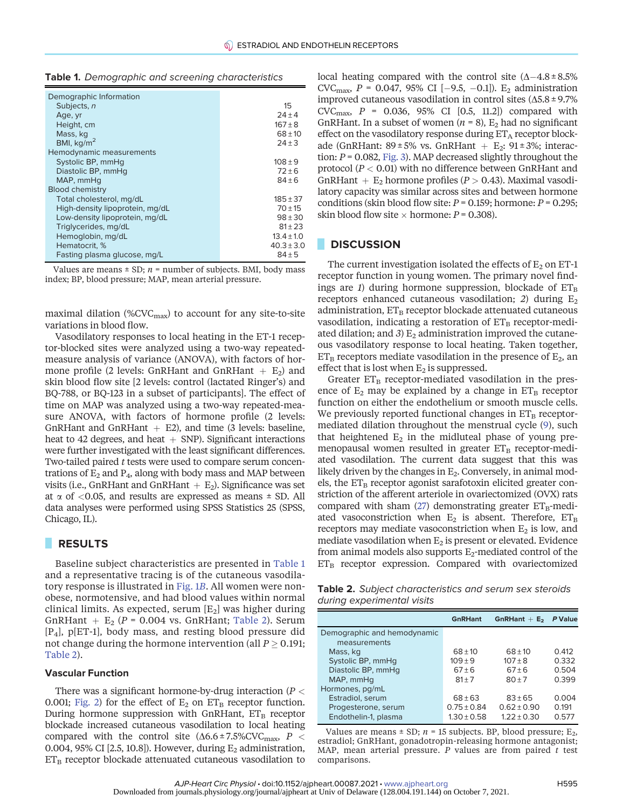| Demographic Information         |                |
|---------------------------------|----------------|
| Subjects, n                     | 15             |
| Age, yr                         | $24 + 4$       |
| Height, cm                      | $167 + 8$      |
| Mass, kg                        | $68 + 10$      |
| BMI, $kg/m2$                    | $24 + 3$       |
| Hemodynamic measurements        |                |
| Systolic BP, mmHg               | $108 + 9$      |
| Diastolic BP, mmHg              | $72 + 6$       |
| MAP, mmHq                       | $84 + 6$       |
| <b>Blood chemistry</b>          |                |
| Total cholesterol, mg/dL        | $185 + 37$     |
| High-density lipoprotein, mg/dL | $70 + 15$      |
| Low-density lipoprotein, mg/dL  | $98 + 30$      |
| Triglycerides, mg/dL            | $81 + 23$      |
| Hemoglobin, mg/dL               | $13.4 \pm 1.0$ |
| Hematocrit, %                   | $40.3 \pm 3.0$ |
| Fasting plasma glucose, mg/L    | $84 + 5$       |

<span id="page-3-0"></span>

| Table 1. Demographic and screening characteristics |  |  |
|----------------------------------------------------|--|--|
|----------------------------------------------------|--|--|

Values are means  $\pm$  SD;  $n =$  number of subjects. BMI, body mass index; BP, blood pressure; MAP, mean arterial pressure.

maximal dilation (%CVC<sub>max</sub>) to account for any site-to-site variations in blood flow.

Vasodilatory responses to local heating in the ET-1 receptor-blocked sites were analyzed using a two-way repeatedmeasure analysis of variance (ANOVA), with factors of hormone profile (2 levels: GnRHant and GnRHant  $+$  E<sub>2</sub>) and skin blood flow site [2 levels: control (lactated Ringer's) and BQ-788, or BQ-123 in a subset of participants]. The effect of time on MAP was analyzed using a two-way repeated-measure ANOVA, with factors of hormone profile (2 levels: GnRHant and GnRHant  $+$  E2), and time (3 levels: baseline, heat to 42 degrees, and heat  $+$  SNP). Significant interactions were further investigated with the least significant differences. Two-tailed paired  $t$  tests were used to compare serum concentrations of  $E_2$  and  $P_4$ , along with body mass and MAP between visits (i.e., GnRHant and GnRHant  $+$  E<sub>2</sub>). Significance was set at  $\alpha$  of <0.05, and results are expressed as means  $\pm$  SD. All data analyses were performed using SPSS Statistics 25 (SPSS, Chicago, IL).

# RESULTS

Baseline subject characteristics are presented in [Table 1](#page-3-0) and a representative tracing is of the cutaneous vasodilatory response is illustrated in [Fig. 1](#page-2-0)B. All women were nonobese, normotensive, and had blood values within normal clinical limits. As expected, serum  $[E_2]$  was higher during GnRHant +  $E_2$  (P = 0.004 vs. GnRHant; [Table 2](#page-3-1)). Serum  $[P_4]$ , p[ET-1], body mass, and resting blood pressure did not change during the hormone intervention (all  $P \geq 0.191$ ; [Table 2\)](#page-3-1).

#### Vascular Function

There was a significant hormone-by-drug interaction ( $P <$ 0.001; [Fig. 2\)](#page-4-0) for the effect of  $E_2$  on  $ET_B$  receptor function. During hormone suppression with GnRHant,  $ET_B$  receptor blockade increased cutaneous vasodilation to local heating compared with the control site  $(\Delta 6.6 \pm 7.5\%$ CVC<sub>max</sub>, P < 0.004, 95% CI [2.5, 10.8]). However, during  $E_2$  administration,  $ET_B$  receptor blockade attenuated cutaneous vasodilation to local heating compared with the control site  $(\Delta - 4.8 \pm 8.5\%)$ CVC<sub>max</sub>,  $P = 0.047$ , 95% CI [-9.5, -0.1]). E<sub>2</sub> administration improved cutaneous vasodilation in control sites  $(\Delta 5.8 \pm 9.7\%)$ CVC<sub>max</sub>,  $P = 0.036, 95\%$  CI  $[0.5, 11.2]$  compared with GnRHant. In a subset of women ( $n = 8$ ),  $E_2$  had no significant effect on the vasodilatory response during  $ET_A$  receptor blockade (GnRHant:  $89 \pm 5\%$  vs. GnRHant + E<sub>2</sub>:  $91 \pm 3\%$ ; interaction:  $P = 0.082$ , [Fig. 3\)](#page-4-1). MAP decreased slightly throughout the protocol ( $P < 0.01$ ) with no difference between GnRHant and GnRHant +  $E_2$  hormone profiles ( $P > 0.43$ ). Maximal vasodilatory capacity was similar across sites and between hormone conditions (skin blood flow site:  $P = 0.159$ ; hormone:  $P = 0.295$ ; skin blood flow site  $\times$  hormone:  $P = 0.308$ ).

# **DISCUSSION**

The current investigation isolated the effects of  $E_2$  on ET-1 receptor function in young women. The primary novel findings are 1) during hormone suppression, blockade of  $ET_B$ receptors enhanced cutaneous vasodilation; 2) during  $E_2$ administration,  $ET_B$  receptor blockade attenuated cutaneous vasodilation, indicating a restoration of  $ET_B$  receptor-mediated dilation; and 3)  $E_2$  administration improved the cutaneous vasodilatory response to local heating. Taken together,  $ET_B$  receptors mediate vasodilation in the presence of  $E_2$ , an effect that is lost when  $E_2$  is suppressed.

Greater  $ET_B$  receptor-mediated vasodilation in the presence of  $E_2$  may be explained by a change in  $ET_B$  receptor function on either the endothelium or smooth muscle cells. We previously reported functional changes in  $ET_B$  receptormediated dilation throughout the menstrual cycle [\(9](#page-6-0)), such that heightened  $E_2$  in the midluteal phase of young premenopausal women resulted in greater  $ET_B$  receptor-mediated vasodilation. The current data suggest that this was likely driven by the changes in  $E_2$ . Conversely, in animal models, the  $ET_B$  receptor agonist sarafotoxin elicited greater constriction of the afferent arteriole in ovariectomized (OVX) rats compared with sham [\(27\)](#page-6-16) demonstrating greater  $ET_B$ -mediated vasoconstriction when  $E_2$  is absent. Therefore,  $ET_B$ receptors may mediate vasoconstriction when  $E_2$  is low, and mediate vasodilation when  $E_2$  is present or elevated. Evidence from animal models also supports  $E_2$ -mediated control of the  $ET_B$  receptor expression. Compared with ovariectomized

<span id="page-3-1"></span>Table 2. Subject characteristics and serum sex steroids during experimental visits

|                                             | <b>GnRHant</b>  | GnRHant $+$ E <sub>2</sub> | P Value |
|---------------------------------------------|-----------------|----------------------------|---------|
| Demographic and hemodynamic<br>measurements |                 |                            |         |
| Mass, kg                                    | $68 + 10$       | $68 + 10$                  | 0.412   |
| Systolic BP, mmHg                           | $109 + 9$       | $107 + 8$                  | 0.332   |
| Diastolic BP, mmHq                          | $67 \pm 6$      | $67 + 6$                   | 0.504   |
| MAP, mmHq                                   | $81 + 7$        | $80 + 7$                   | 0.399   |
| Hormones, pg/mL                             |                 |                            |         |
| Estradiol, serum                            | $68 \pm 63$     | $83 + 65$                  | 0.004   |
| Progesterone, serum                         | $0.75 \pm 0.84$ | $0.62 + 0.90$              | 0.191   |
| Endothelin-1, plasma                        | $1.30 + 0.58$   | $1.22 + 0.30$              | 0.577   |

Values are means  $\pm$  SD;  $n = 15$  subjects. BP, blood pressure; E<sub>2</sub>, estradiol; GnRHant, gonadotropin-releasing hormone antagonist; MAP, mean arterial pressure. P values are from paired  $t$  test comparisons.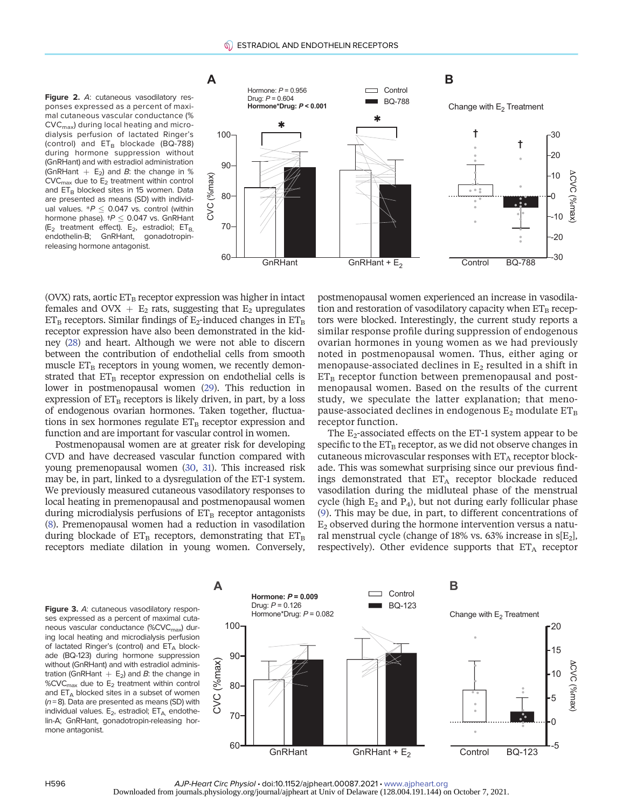#### <span id="page-4-0"></span>Figure 2. A: cutaneous vasodilatory responses expressed as a percent of maximal cutaneous vascular conductance (% CVCmax) during local heating and microdialysis perfusion of lactated Ringer's (control) and  $ET_B$  blockade (BQ-788) during hormone suppression without (GnRHant) and with estradiol administration (GnRHant  $+$  E<sub>2</sub>) and *B*: the change in %  $\text{CVC}_{\text{max}}$  due to  $\text{E}_2$  treatment within control and ET<sub>B</sub> blocked sites in 15 women. Data are presented as means (SD) with individual values.  $P \le 0.047$  vs. control (within hormone phase).  $tP \leq 0.047$  vs. GnRHant (E<sub>2</sub> treatment effect). E<sub>2</sub>, estradiol;  $ET_{B}$ , endothelin-B; GnRHant, gonadotropinreleasing hormone antagonist.



(OVX) rats, aortic  $ET_B$  receptor expression was higher in intact females and OVX  $+$  E<sub>2</sub> rats, suggesting that E<sub>2</sub> upregulates  $ET_B$  receptors. Similar findings of  $E_2$ -induced changes in  $ET_B$ receptor expression have also been demonstrated in the kidney [\(28](#page-6-17)) and heart. Although we were not able to discern between the contribution of endothelial cells from smooth muscle  $ET_B$  receptors in young women, we recently demonstrated that  $ET_B$  receptor expression on endothelial cells is lower in postmenopausal women ([29](#page-6-18)). This reduction in expression of  $ET_B$  receptors is likely driven, in part, by a loss of endogenous ovarian hormones. Taken together, fluctuations in sex hormones regulate  $ET_B$  receptor expression and function and are important for vascular control in women.

Postmenopausal women are at greater risk for developing CVD and have decreased vascular function compared with young premenopausal women [\(30,](#page-6-19) [31\)](#page-6-20). This increased risk may be, in part, linked to a dysregulation of the ET-1 system. We previously measured cutaneous vasodilatory responses to local heating in premenopausal and postmenopausal women during microdialysis perfusions of  $ET_B$  receptor antagonists [\(8](#page-5-5)). Premenopausal women had a reduction in vasodilation during blockade of  $ET_B$  receptors, demonstrating that  $ET_B$ receptors mediate dilation in young women. Conversely,

A

postmenopausal women experienced an increase in vasodilation and restoration of vasodilatory capacity when  $ET_B$  receptors were blocked. Interestingly, the current study reports a similar response profile during suppression of endogenous ovarian hormones in young women as we had previously noted in postmenopausal women. Thus, either aging or menopause-associated declines in  $E_2$  resulted in a shift in  $ET_B$  receptor function between premenopausal and postmenopausal women. Based on the results of the current study, we speculate the latter explanation; that menopause-associated declines in endogenous  $E_2$  modulate  $ET_B$ receptor function.

The  $E_2$ -associated effects on the ET-1 system appear to be specific to the  $ET_B$  receptor, as we did not observe changes in cutaneous microvascular responses with  $ET_A$  receptor blockade. This was somewhat surprising since our previous findings demonstrated that  $ET_A$  receptor blockade reduced vasodilation during the midluteal phase of the menstrual cycle (high  $E_2$  and  $P_4$ ), but not during early follicular phase ([9\)](#page-6-0). This may be due, in part, to different concentrations of  $E<sub>2</sub>$  observed during the hormone intervention versus a natural menstrual cycle (change of 18% vs. 63% increase in  $s[E_2]$ , respectively). Other evidence supports that  $ET_A$  receptor

в

<span id="page-4-1"></span>Figure 3. A: cutaneous vasodilatory responses expressed as a percent of maximal cutaneous vascular conductance (%CVC<sub>max</sub>) during local heating and microdialysis perfusion of lactated Ringer's (control) and  $ET_A$  blockade (BQ-123) during hormone suppression without (GnRHant) and with estradiol administration (GnRHant  $+$  E<sub>2</sub>) and *B*: the change in  $%$ CVC $_{\text{max}}$  due to  $E_2$  treatment within control and  $ET_A$  blocked sites in a subset of women  $(n = 8)$ . Data are presented as means (SD) with individual values.  $E_2$ , estradiol;  $ET_A$  endothelin-A; GnRHant, gonadotropin-releasing hormone antagonist.



 $\Box$  Control

**Hormone:** *<sup>P</sup>* **= 0.009**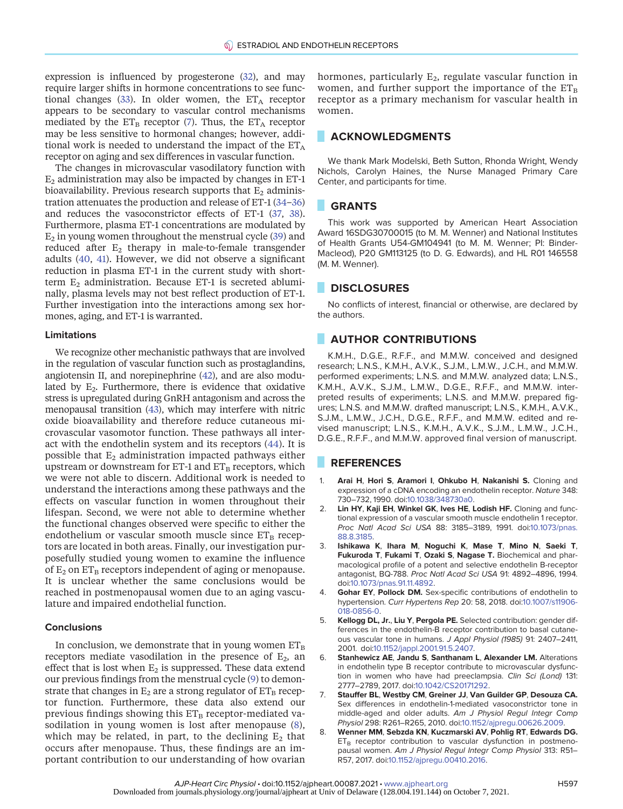expression is influenced by progesterone [\(32\)](#page-6-21), and may require larger shifts in hormone concentrations to see func-tional changes ([33\)](#page-6-22). In older women, the  $ET_A$  receptor appears to be secondary to vascular control mechanisms mediated by the  $ET_B$  receptor [\(7](#page-5-6)). Thus, the  $ET_A$  receptor may be less sensitive to hormonal changes; however, additional work is needed to understand the impact of the  $ET_A$ receptor on aging and sex differences in vascular function.

The changes in microvascular vasodilatory function with  $E_2$  administration may also be impacted by changes in ET-1 bioavailability. Previous research supports that  $E_2$  administration attenuates the production and release of ET-1 [\(34](#page-6-23)–[36\)](#page-6-24) and reduces the vasoconstrictor effects of ET-1 ([37,](#page-6-25) [38](#page-6-26)). Furthermore, plasma ET-1 concentrations are modulated by  $E_2$  in young women throughout the menstrual cycle [\(39](#page-6-27)) and reduced after  $E_2$  therapy in male-to-female transgender adults [\(40](#page-6-28), [41\)](#page-6-29). However, we did not observe a significant reduction in plasma ET-1 in the current study with shortterm  $E_2$  administration. Because ET-1 is secreted abluminally, plasma levels may not best reflect production of ET-1. Further investigation into the interactions among sex hormones, aging, and ET-1 is warranted.

#### Limitations

We recognize other mechanistic pathways that are involved in the regulation of vascular function such as prostaglandins, angiotensin II, and norepinephrine ([42\)](#page-6-30), and are also modulated by  $E_2$ . Furthermore, there is evidence that oxidative stress is upregulated during GnRH antagonism and across the menopausal transition ([43\)](#page-6-31), which may interfere with nitric oxide bioavailability and therefore reduce cutaneous microvascular vasomotor function. These pathways all interact with the endothelin system and its receptors [\(44](#page-6-32)). It is possible that  $E_2$  administration impacted pathways either upstream or downstream for ET-1 and  $ET_B$  receptors, which we were not able to discern. Additional work is needed to understand the interactions among these pathways and the effects on vascular function in women throughout their lifespan. Second, we were not able to determine whether the functional changes observed were specific to either the endothelium or vascular smooth muscle since  $ET_B$  receptors are located in both areas. Finally, our investigation purposefully studied young women to examine the influence of  $E_2$  on  $ET_B$  receptors independent of aging or menopause. It is unclear whether the same conclusions would be reached in postmenopausal women due to an aging vasculature and impaired endothelial function.

#### **Conclusions**

In conclusion, we demonstrate that in young women  $ET_B$ receptors mediate vasodilation in the presence of  $E_2$ , an effect that is lost when  $E_2$  is suppressed. These data extend our previous findings from the menstrual cycle ([9\)](#page-6-0) to demonstrate that changes in  $E_2$  are a strong regulator of  $ET_B$  receptor function. Furthermore, these data also extend our previous findings showing this  $ET_B$  receptor-mediated vasodilation in young women is lost after menopause ([8\)](#page-5-5), which may be related, in part, to the declining  $E_2$  that occurs after menopause. Thus, these findings are an important contribution to our understanding of how ovarian hormones, particularly  $E_2$ , regulate vascular function in women, and further support the importance of the  $ET_B$ receptor as a primary mechanism for vascular health in women.

# ACKNOWLEDGMENTS

We thank Mark Modelski, Beth Sutton, Rhonda Wright, Wendy Nichols, Carolyn Haines, the Nurse Managed Primary Care Center, and participants for time.

#### GRANTS

This work was supported by American Heart Association Award 16SDG30700015 (to M. M. Wenner) and National Institutes of Health Grants U54-GM104941 (to M. M. Wenner; PI: Binder-Macleod), P20 GM113125 (to D. G. Edwards), and HL R01 146558 (M. M. Wenner).

#### **DISCLOSURES**

No conflicts of interest, financial or otherwise, are declared by the authors.

# **AUTHOR CONTRIBUTIONS**

K.M.H., D.G.E., R.F.F., and M.M.W. conceived and designed research; L.N.S., K.M.H., A.V.K., S.J.M., L.M.W., J.C.H., and M.M.W. performed experiments; L.N.S. and M.M.W. analyzed data; L.N.S., K.M.H., A.V.K., S.J.M., L.M.W., D.G.E., R.F.F., and M.M.W. interpreted results of experiments; L.N.S. and M.M.W. prepared figures; L.N.S. and M.M.W. drafted manuscript; L.N.S., K.M.H., A.V.K., S.J.M., L.M.W., J.C.H., D.G.E., R.F.F., and M.M.W. edited and revised manuscript; L.N.S., K.M.H., A.V.K., S.J.M., L.M.W., J.C.H., D.G.E., R.F.F., and M.M.W. approved final version of manuscript.

# **REFERENCES**

- <span id="page-5-0"></span>1. Arai H, Hori S, Aramori I, Ohkubo H, Nakanishi S. Cloning and expression of a cDNA encoding an endothelin receptor. Nature 348: 730–732, 1990. doi[:10.1038/348730a0.](https://doi.org/10.1038/348730a0)
- <span id="page-5-1"></span>2. Lin HY, Kaji EH, Winkel GK, Ives HE, Lodish HF. Cloning and functional expression of a vascular smooth muscle endothelin 1 receptor. Proc Natl Acad Sci USA 88: 3185–3189, 1991. doi:[10.1073/pnas.](https://doi.org/10.1073/pnas.88.8.3185) [88.8.3185.](https://doi.org/10.1073/pnas.88.8.3185)
- <span id="page-5-2"></span>3. Ishikawa K, Ihara M, Noguchi K, Mase T, Mino N, Saeki T, Fukuroda T, Fukami T, Ozaki S, Nagase T. Biochemical and pharmacological profile of a potent and selective endothelin B-receptor antagonist, BQ-788. Proc Natl Acad Sci USA 91: 4892–4896, 1994. doi:[10.1073/pnas.91.11.4892.](https://doi.org/10.1073/pnas.91.11.4892)
- <span id="page-5-3"></span>4. Gohar EY, Pollock DM. Sex-specific contributions of endothelin to hypertension. Curr Hypertens Rep 20: 58, 2018. doi[:10.1007/s11906-](https://doi.org/10.1007/s11906-018-0856-0) [018-0856-0](https://doi.org/10.1007/s11906-018-0856-0).
- <span id="page-5-4"></span>5. Kellogg DL, Jr., Liu Y, Pergola PE. Selected contribution: gender differences in the endothelin-B receptor contribution to basal cutaneous vascular tone in humans. J Appl Physiol (1985) 91: 2407–2411, 2001. doi:[10.1152/jappl.2001.91.5.2407](https://doi.org/10.1152/jappl.2001.91.5.2407).
- 6. Stanhewicz AE, Jandu S, Santhanam L, Alexander LM. Alterations in endothelin type B receptor contribute to microvascular dysfunction in women who have had preeclampsia. Clin Sci (Lond) 131: 2777–2789, 2017. doi[:10.1042/CS20171292.](https://doi.org/10.1042/CS20171292)
- <span id="page-5-6"></span>7. Stauffer BL, Westby CM, Greiner JJ, Van Guilder GP, Desouza CA. Sex differences in endothelin-1-mediated vasoconstrictor tone in middle-aged and older adults. Am J Physiol Regul Integr Comp Physiol 298: R261–R265, 2010. doi[:10.1152/ajpregu.00626.2009.](https://doi.org/10.1152/ajpregu.00626.2009)
- <span id="page-5-5"></span>8. Wenner MM, Sebzda KN, Kuczmarski AV, Pohlig RT, Edwards DG.  $ET_B$  receptor contribution to vascular dysfunction in postmenopausal women. Am J Physiol Regul Integr Comp Physiol 313: R51– R57, 2017. doi[:10.1152/ajpregu.00410.2016](https://doi.org/10.1152/ajpregu.00410.2016).